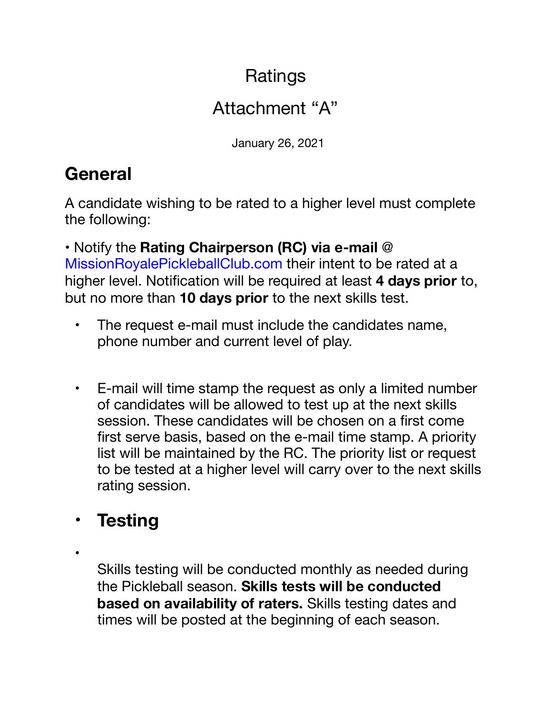### **Ratings**

### Attachment "A"

January 26, 2021

# **General**

A candidate wishing to be rated to a higher level must complete the following:

• Notify the **Rating Chairperson (RC) via e-mail** @ MissionRoyalePickleballClub.com their intent to be rated at a higher level. Notification will be required at least **4 days prior** to, but no more than **10 days prior** to the next skills test.

- The request e-mail must include the candidates name, phone number and current level of play.
- E-mail will time stamp the request as only a limited number of candidates will be allowed to test up at the next skills session. These candidates will be chosen on a first come first serve basis, based on the e-mail time stamp. A priority list will be maintained by the RC. The priority list or request to be tested at a higher level will carry over to the next skills rating session.

## • **Testing**

•

Skills testing will be conducted monthly as needed during the Pickleball season. **Skills tests will be conducted based on availability of raters.** Skills testing dates and times will be posted at the beginning of each season.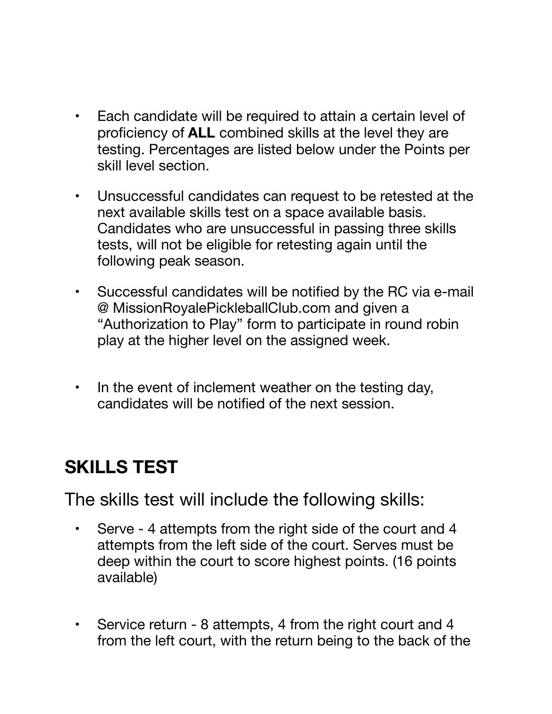- Each candidate will be required to attain a certain level of proficiency of **ALL** combined skills at the level they are testing. Percentages are listed below under the Points per skill level section.
- Unsuccessful candidates can request to be retested at the next available skills test on a space available basis. Candidates who are unsuccessful in passing three skills tests, will not be eligible for retesting again until the following peak season.
- Successful candidates will be notified by the RC via e-mail @ MissionRoyalePickleballClub.com and given a "Authorization to Play" form to participate in round robin play at the higher level on the assigned week.
- In the event of inclement weather on the testing day, candidates will be notified of the next session.

### **SKILLS TEST**

The skills test will include the following skills:

- Serve 4 attempts from the right side of the court and 4 attempts from the left side of the court. Serves must be deep within the court to score highest points. (16 points available)
- Service return 8 attempts, 4 from the right court and 4 from the left court, with the return being to the back of the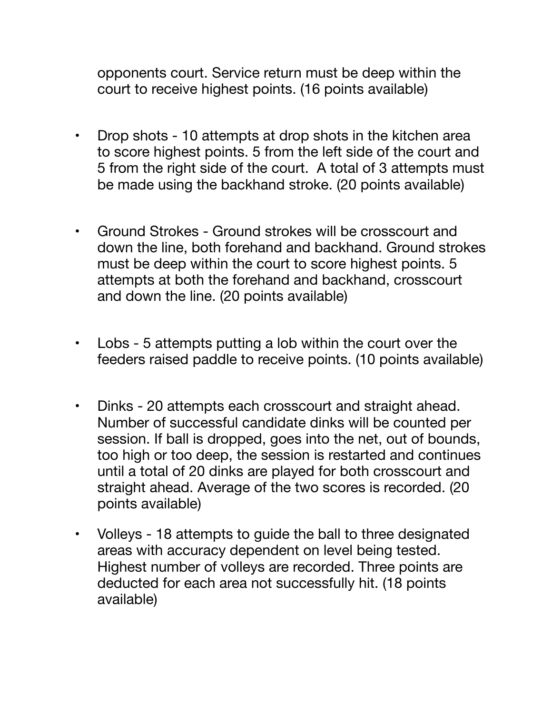opponents court. Service return must be deep within the court to receive highest points. (16 points available)

- Drop shots 10 attempts at drop shots in the kitchen area to score highest points. 5 from the left side of the court and 5 from the right side of the court. A total of 3 attempts must be made using the backhand stroke. (20 points available)
- Ground Strokes Ground strokes will be crosscourt and down the line, both forehand and backhand. Ground strokes must be deep within the court to score highest points. 5 attempts at both the forehand and backhand, crosscourt and down the line. (20 points available)
- Lobs 5 attempts putting a lob within the court over the feeders raised paddle to receive points. (10 points available)
- Dinks 20 attempts each crosscourt and straight ahead. Number of successful candidate dinks will be counted per session. If ball is dropped, goes into the net, out of bounds, too high or too deep, the session is restarted and continues until a total of 20 dinks are played for both crosscourt and straight ahead. Average of the two scores is recorded. (20 points available)
- Volleys 18 attempts to guide the ball to three designated areas with accuracy dependent on level being tested. Highest number of volleys are recorded. Three points are deducted for each area not successfully hit. (18 points available)